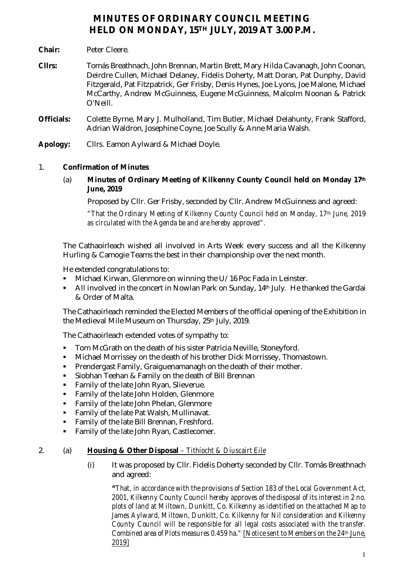# **MINUTES OF ORDINARY COUNCIL MEETING HELD ON MONDAY, 15TH JULY, 2019 AT 3.00 P.M.**

- **Chair:** Peter Cleere.
- **Cllrs:** Tomás Breathnach, John Brennan, Martin Brett, Mary Hilda Cavanagh, John Coonan, Deirdre Cullen, Michael Delaney, Fidelis Doherty, Matt Doran, Pat Dunphy, David Fitzgerald, Pat Fitzpatrick, Ger Frisby, Denis Hynes, Joe Lyons, Joe Malone, Michael McCarthy, Andrew McGuinness, Eugene McGuinness, Malcolm Noonan & Patrick O'Neill.
- **Officials:** Colette Byrne, Mary J. Mulholland, Tim Butler, Michael Delahunty, Frank Stafford, Adrian Waldron, Josephine Coyne, Joe Scully & Anne Maria Walsh.
- **Apology:** Cllrs. Eamon Aylward & Michael Doyle.

## 1. **Confirmation of Minutes**

(a) **Minutes of Ordinary Meeting of Kilkenny County Council held on Monday 17th June, 2019**

Proposed by Cllr. Ger Frisby, seconded by Cllr. Andrew McGuinness and agreed:

*"That the Ordinary Meeting of Kilkenny County Council held on Monday, 17th June, 2019 as circulated with the Agenda be and are hereby approved".*

The Cathaoirleach wished all involved in Arts Week every success and all the Kilkenny Hurling & Camogie Teams the best in their championship over the next month.

He extended congratulations to:

- Michael Kirwan, Glenmore on winning the U/16 Poc Fada in Leinster.
- All involved in the concert in Nowlan Park on Sunday, 14<sup>th</sup> July. He thanked the Gardai & Order of Malta.

The Cathaoirleach reminded the Elected Members of the official opening of the Exhibition in the Medieval Mile Museum on Thursday, 25th July, 2019.

The Cathaoirleach extended votes of sympathy to:

- **Tom McGrath on the death of his sister Patricia Neville, Stoneyford.**
- Michael Morrissey on the death of his brother Dick Morrissey, Thomastown.
- Prendergast Family, Graiguenamanagh on the death of their mother.
- Siobhan Teehan & Family on the death of Bill Brennan
- **Family of the late John Ryan, Slieverue.**
- **Family of the late John Holden, Glenmore**
- **Family of the late John Phelan, Glenmore**
- **Family of the late Pat Walsh, Mullinavat.**
- **Family of the late Bill Brennan, Freshford.**
- **Family of the late John Ryan, Castlecomer.**

# 2. (a) **Housing & Other Disposal** *– Tithíocht & Díuscairt Eile*

(i) It was proposed by Cllr. Fidelis Doherty seconded by Cllr. Tomás Breathnach and agreed:

*"That, in accordance with the provisions of Section 183 of the Local Government Act, 2001, Kilkenny County Council hereby approves of the disposal of its interest in 2 no. plots of land at Miltown, Dunkitt, Co. Kilkenny as identified on the attached Map to*  James Aylward, Miltown, Dunkitt, Co. Kilkenny for Nil consideration and Kilkenny *County Council will be responsible for all legal costs associated with the transfer. Combined area of Plots measures 0.459 ha." [Notice sent to Members on the 24th June, 2019]*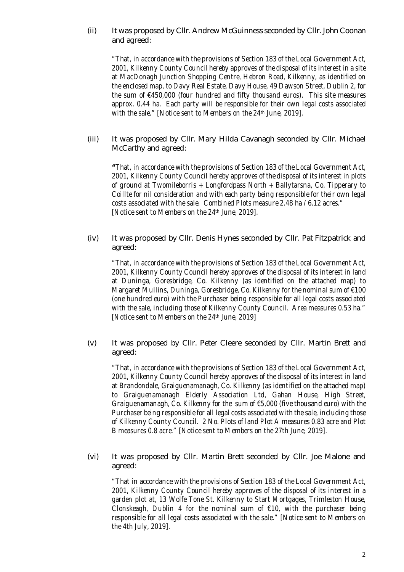(ii) It was proposed by Cllr. Andrew McGuinness seconded by Cllr. John Coonan and agreed:

*"That, in accordance with the provisions of Section 183 of the Local Government Act, 2001, Kilkenny County Council hereby approves of the disposal of its interest in a site at MacDonagh Junction Shopping Centre, Hebron Road, Kilkenny, as identified on the enclosed map, to Davy Real Estate, Davy House, 49 Dawson Street, Dublin 2, for the sum of €450,000 (four hundred and fifty thousand euros). This site measures approx. 0.44 ha. Each party will be responsible for their own legal costs associated with the sale." [Notice sent to Members on the 24th June, 2019].*

(iii) It was proposed by Cllr. Mary Hilda Cavanagh seconded by Cllr. Michael McCarthy and agreed:

*"That, in accordance with the provisions of Section 183 of the Local Government Act, 2001, Kilkenny County Council hereby approves of the disposal of its interest in plots of ground at Twomileborris + Longfordpass North + Ballytarsna, Co. Tipperary to Coillte for nil consideration and with each party being responsible for their own legal costs associated with the sale. Combined Plots measure 2.48 ha / 6.12 acres." [Notice sent to Members on the 24th June, 2019].*

(iv) It was proposed by Cllr. Denis Hynes seconded by Cllr. Pat Fitzpatrick and agreed:

*"That, in accordance with the provisions of Section 183 of the Local Government Act, 2001, Kilkenny County Council hereby approves of the disposal of its interest in land at Duninga, Goresbridge, Co. Kilkenny (as identified on the attached map) to Margaret Mullins, Duninga, Goresbridge, Co. Kilkenny for the nominal sum of €100 (one hundred euro) with the Purchaser being responsible for all legal costs associated with the sale, including those of Kilkenny County Council. Area measures 0.53 ha." [Notice sent to Members on the 24th June, 2019]*

(v) It was proposed by Cllr. Peter Cleere seconded by Cllr. Martin Brett and agreed:

*"That, in accordance with the provisions of Section 183 of the Local Government Act, 2001, Kilkenny County Council hereby approves of the disposal of its interest in land at Brandondale, Graiguenamanagh, Co. Kilkenny (as identified on the attached map) to Graiguenamanagh Elderly Association Ltd, Gahan House, High Street, Graiguenamanagh, Co. Kilkenny for the sum of €5,000 (five thousand euro) with the Purchaser being responsible for all legal costs associated with the sale, including those of Kilkenny County Council. 2 No. Plots of land Plot A measures 0.83 acre and Plot B measures 0.8 acre." [Notice sent to Members on the 27th June, 2019].* 

(vi) It was proposed by Cllr. Martin Brett seconded by Cllr. Joe Malone and agreed:

*"That in accordance with the provisions of Section 183 of the Local Government Act, 2001, Kilkenny County Council hereby approves of the disposal of its interest in a garden plot at, 13 Wolfe Tone St. Kilkenny to Start Mortgages, Trimleston House, Clonskeagh, Dublin 4 for the nominal sum of €10, with the purchaser being responsible for all legal costs associated with the sale." [Notice sent to Members on the 4th July, 2019].*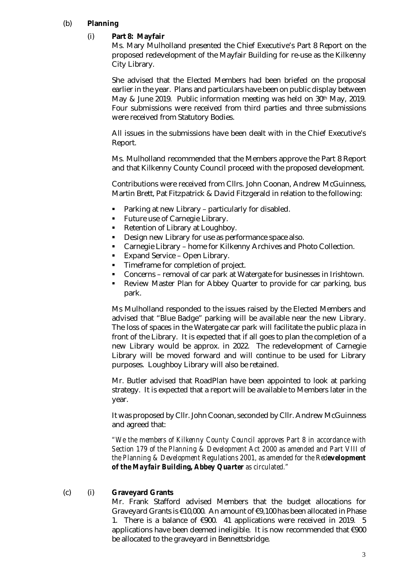# (b) **Planning**

## (i) **Part 8: Mayfair**

Ms. Mary Mulholland presented the Chief Executive's Part 8 Report on the proposed redevelopment of the Mayfair Building for re-use as the Kilkenny City Library.

She advised that the Elected Members had been briefed on the proposal earlier in the year. Plans and particulars have been on public display between May & June 2019. Public information meeting was held on 30th May, 2019. Four submissions were received from third parties and three submissions were received from Statutory Bodies.

All issues in the submissions have been dealt with in the Chief Executive's Report.

Ms. Mulholland recommended that the Members approve the Part 8 Report and that Kilkenny County Council proceed with the proposed development.

Contributions were received from Cllrs. John Coonan, Andrew McGuinness, Martin Brett, Pat Fitzpatrick & David Fitzgerald in relation to the following:

- Parking at new Library particularly for disabled.
- **Future use of Carnegie Library.**
- Retention of Library at Loughboy.
- Design new Library for use as performance space also.
- Carnegie Library home for Kilkenny Archives and Photo Collection.
- Expand Service Open Library.
- Timeframe for completion of project.
- Concerns removal of car park at Watergate for businesses in Irishtown.
- Review Master Plan for Abbey Quarter to provide for car parking, bus park.

Ms Mulholland responded to the issues raised by the Elected Members and advised that "Blue Badge" parking will be available near the new Library. The loss of spaces in the Watergate car park will facilitate the public plaza in front of the Library. It is expected that if all goes to plan the completion of a new Library would be approx. in 2022. The redevelopment of Carnegie Library will be moved forward and will continue to be used for Library purposes. Loughboy Library will also be retained.

Mr. Butler advised that RoadPlan have been appointed to look at parking strategy. It is expected that a report will be available to Members later in the year.

It was proposed by Cllr. John Coonan, seconded by Cllr. Andrew McGuinness and agreed that:

*"We the members of Kilkenny County Council approves Part 8 in accordance with Section 179 of the Planning & Development Act 2000 as amended and Part VIII of the Planning & Development Regulations 2001, as amended for the Redevelopment of the Mayfair Building, Abbey Quarter as circulated."*

#### (c) (i) **Graveyard Grants**

Mr. Frank Stafford advised Members that the budget allocations for Graveyard Grants is €10,000. An amount of €9,100 has been allocated in Phase 1. There is a balance of €900. 41 applications were received in 2019. 5 applications have been deemed ineligible. It is now recommended that €900 be allocated to the graveyard in Bennettsbridge.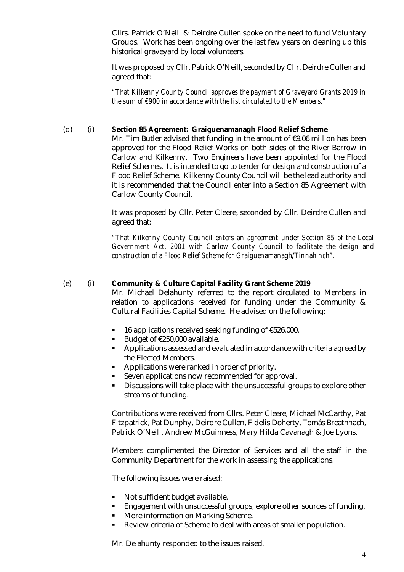Cllrs. Patrick O'Neill & Deirdre Cullen spoke on the need to fund Voluntary Groups. Work has been ongoing over the last few years on cleaning up this historical graveyard by local volunteers.

It was proposed by Cllr. Patrick O'Neill, seconded by Cllr. Deirdre Cullen and agreed that:

*"That Kilkenny County Council approves the payment of Graveyard Grants 2019 in the sum of €900 in accordance with the list circulated to the Members."*

#### (d) (i) **Section 85 Agreement: Graiguenamanagh Flood Relief Scheme**

Mr. Tim Butler advised that funding in the amount of €9.06 million has been approved for the Flood Relief Works on both sides of the River Barrow in Carlow and Kilkenny. Two Engineers have been appointed for the Flood Relief Schemes. It is intended to go to tender for design and construction of a Flood Relief Scheme. Kilkenny County Council will be the lead authority and it is recommended that the Council enter into a Section 85 Agreement with Carlow County Council.

It was proposed by Cllr. Peter Cleere, seconded by Cllr. Deirdre Cullen and agreed that:

*"That Kilkenny County Council enters an agreement under Section 85 of the Local Government Act, 2001 with Carlow County Council to facilitate the design and construction of a Flood Relief Scheme for Graiguenamanagh/Tinnahinch".*

#### (e) (i) **Community & Culture Capital Facility Grant Scheme 2019**

Mr. Michael Delahunty referred to the report circulated to Members in relation to applications received for funding under the Community & Cultural Facilities Capital Scheme. He advised on the following:

- 16 applications received seeking funding of €526,000.
- Budget of €250,000 available.
- Applications assessed and evaluated in accordance with criteria agreed by the Elected Members.
- **Applications were ranked in order of priority.**
- Seven applications now recommended for approval.
- Discussions will take place with the unsuccessful groups to explore other streams of funding.

Contributions were received from Cllrs. Peter Cleere, Michael McCarthy, Pat Fitzpatrick, Pat Dunphy, Deirdre Cullen, Fidelis Doherty, Tomás Breathnach, Patrick O'Neill, Andrew McGuinness, Mary Hilda Cavanagh & Joe Lyons.

Members complimented the Director of Services and all the staff in the Community Department for the work in assessing the applications.

The following issues were raised:

- **Not sufficient budget available.**
- Engagement with unsuccessful groups, explore other sources of funding.
- **More information on Marking Scheme.**
- Review criteria of Scheme to deal with areas of smaller population.

Mr. Delahunty responded to the issues raised.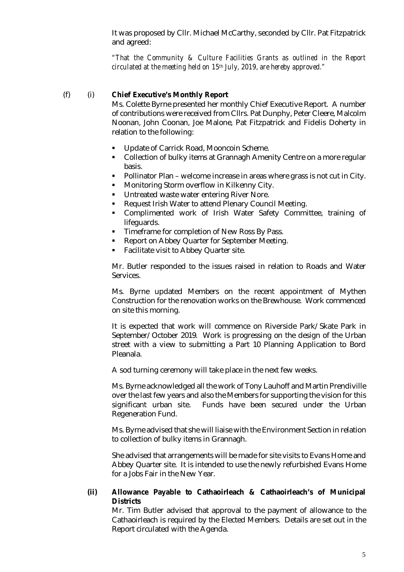It was proposed by Cllr. Michael McCarthy, seconded by Cllr. Pat Fitzpatrick and agreed:

*"That the Community & Culture Facilities Grants as outlined in the Report circulated at the meeting held on 15th July, 2019, are hereby approved."*

#### (f) (i) **Chief Executive's Monthly Report**

Ms. Colette Byrne presented her monthly Chief Executive Report. A number of contributions were received from Cllrs. Pat Dunphy, Peter Cleere, Malcolm Noonan, John Coonan, Joe Malone, Pat Fitzpatrick and Fidelis Doherty in relation to the following:

- Update of Carrick Road, Mooncoin Scheme.
- Collection of bulky items at Grannagh Amenity Centre on a more regular basis.
- Pollinator Plan welcome increase in areas where grass is not cut in City.
- **Monitoring Storm overflow in Kilkenny City.**
- Untreated waste water entering River Nore.
- Request Irish Water to attend Plenary Council Meeting.
- Complimented work of Irish Water Safety Committee, training of lifeguards.
- **Timeframe for completion of New Ross By Pass.**
- **Report on Abbey Quarter for September Meeting.**
- Facilitate visit to Abbey Quarter site.

Mr. Butler responded to the issues raised in relation to Roads and Water Services.

Ms. Byrne updated Members on the recent appointment of Mythen Construction for the renovation works on the Brewhouse. Work commenced on site this morning.

It is expected that work will commence on Riverside Park/Skate Park in September/October 2019. Work is progressing on the design of the Urban street with a view to submitting a Part 10 Planning Application to Bord Pleanala.

A sod turning ceremony will take place in the next few weeks.

Ms. Byrne acknowledged all the work of Tony Lauhoff and Martin Prendiville over the last few years and also the Members for supporting the vision for this significant urban site. Funds have been secured under the Urban Regeneration Fund.

Ms. Byrne advised that she will liaise with the Environment Section in relation to collection of bulky items in Grannagh.

She advised that arrangements will be made for site visits to Evans Home and Abbey Quarter site. It is intended to use the newly refurbished Evans Home for a Jobs Fair in the New Year.

## **(ii) Allowance Payable to Cathaoirleach & Cathaoirleach's of Municipal Districts**

Mr. Tim Butler advised that approval to the payment of allowance to the Cathaoirleach is required by the Elected Members. Details are set out in the Report circulated with the Agenda.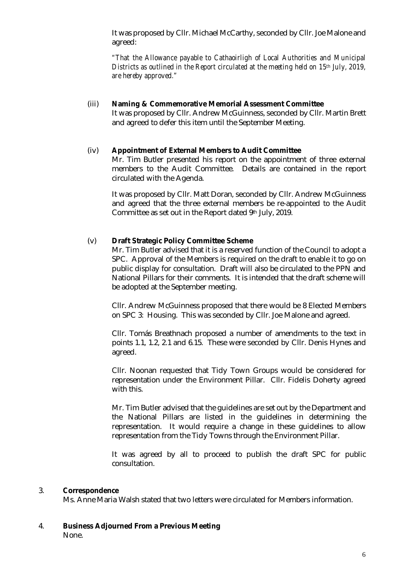It was proposed by Cllr. Michael McCarthy, seconded by Cllr. Joe Malone and agreed:

*"That the Allowance payable to Cathaoirligh of Local Authorities and Municipal Districts as outlined in the Report circulated at the meeting held on 15th July, 2019, are hereby approved."*

## (iii) **Naming & Commemorative Memorial Assessment Committee**

It was proposed by Cllr. Andrew McGuinness, seconded by Cllr. Martin Brett and agreed to defer this item until the September Meeting.

#### (iv) **Appointment of External Members to Audit Committee**

Mr. Tim Butler presented his report on the appointment of three external members to the Audit Committee. Details are contained in the report circulated with the Agenda.

It was proposed by Cllr. Matt Doran, seconded by Cllr. Andrew McGuinness and agreed that the three external members be re-appointed to the Audit Committee as set out in the Report dated 9th July, 2019.

#### (v) **Draft Strategic Policy Committee Scheme**

Mr. Tim Butler advised that it is a reserved function of the Council to adopt a SPC. Approval of the Members is required on the draft to enable it to go on public display for consultation. Draft will also be circulated to the PPN and National Pillars for their comments. It is intended that the draft scheme will be adopted at the September meeting.

Cllr. Andrew McGuinness proposed that there would be 8 Elected Members on SPC 3: Housing. This was seconded by Cllr. Joe Malone and agreed.

Cllr. Tomás Breathnach proposed a number of amendments to the text in points 1.1, 1.2, 2.1 and 6.15. These were seconded by Cllr. Denis Hynes and agreed.

Cllr. Noonan requested that Tidy Town Groups would be considered for representation under the Environment Pillar. Cllr. Fidelis Doherty agreed with this.

Mr. Tim Butler advised that the guidelines are set out by the Department and the National Pillars are listed in the guidelines in determining the representation. It would require a change in these guidelines to allow representation from the Tidy Towns through the Environment Pillar.

It was agreed by all to proceed to publish the draft SPC for public consultation.

#### 3. **Correspondence**

Ms. Anne Maria Walsh stated that two letters were circulated for Members information.

4. **Business Adjourned From a Previous Meeting** None.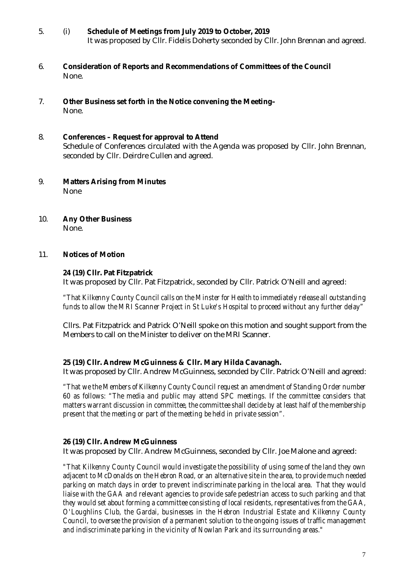- 5. (i) **Schedule of Meetings from July 2019 to October, 2019** It was proposed by Cllr. Fidelis Doherty seconded by Cllr. John Brennan and agreed.
- 6. **Consideration of Reports and Recommendations of Committees of the Council** None.
- 7. **Other Business set forth in the Notice convening the Meeting–** None.
- 8. **Conferences – Request for approval to Attend** Schedule of Conferences circulated with the Agenda was proposed by Cllr. John Brennan, seconded by Cllr. Deirdre Cullen and agreed.
- 9. **Matters Arising from Minutes** None
- 10. **Any Other Business** None.

## 11. **Notices of Motion**

## **24 (19) Cllr. Pat Fitzpatrick**

It was proposed by Cllr. Pat Fitzpatrick, seconded by Cllr. Patrick O'Neill and agreed:

*"That Kilkenny County Council calls on the Minster for Health to immediately release all outstanding funds to allow the MRI Scanner Project in St Luke's Hospital to proceed without any further delay"*

Cllrs. Pat Fitzpatrick and Patrick O'Neill spoke on this motion and sought support from the Members to call on the Minister to deliver on the MRI Scanner.

# **25 (19) Cllr. Andrew McGuinness & Cllr. Mary Hilda Cavanagh.**

It was proposed by Cllr. Andrew McGuinness, seconded by Cllr. Patrick O'Neill and agreed:

*"That we the Members of Kilkenny County Council request an amendment of Standing Order number 60 as follows: "The media and public may attend SPC meetings. If the committee considers that matters warrant discussion in committee, the committee shall decide by at least half of the membership present that the meeting or part of the meeting be held in private session".*

#### **26 (19) Cllr. Andrew McGuinness**

It was proposed by Cllr. Andrew McGuinness, seconded by Cllr. Joe Malone and agreed:

*"That Kilkenny County Council would investigate the possibility of using some of the land they own adjacent to McDonalds on the Hebron Road, or an alternative site in the area, to provide much needed parking on match days in order to prevent indiscriminate parking in the local area. That they would liaise with the GAA and relevant agencies to provide safe pedestrian access to such parking and that they would set about forming a committee consisting of local residents, representatives from the GAA, O'Loughlins Club, the Gardai, businesses in the Hebron Industrial Estate and Kilkenny County Council, to oversee the provision of a permanent solution to the ongoing issues of traffic management and indiscriminate parking in the vicinity of Nowlan Park and its surrounding areas."*